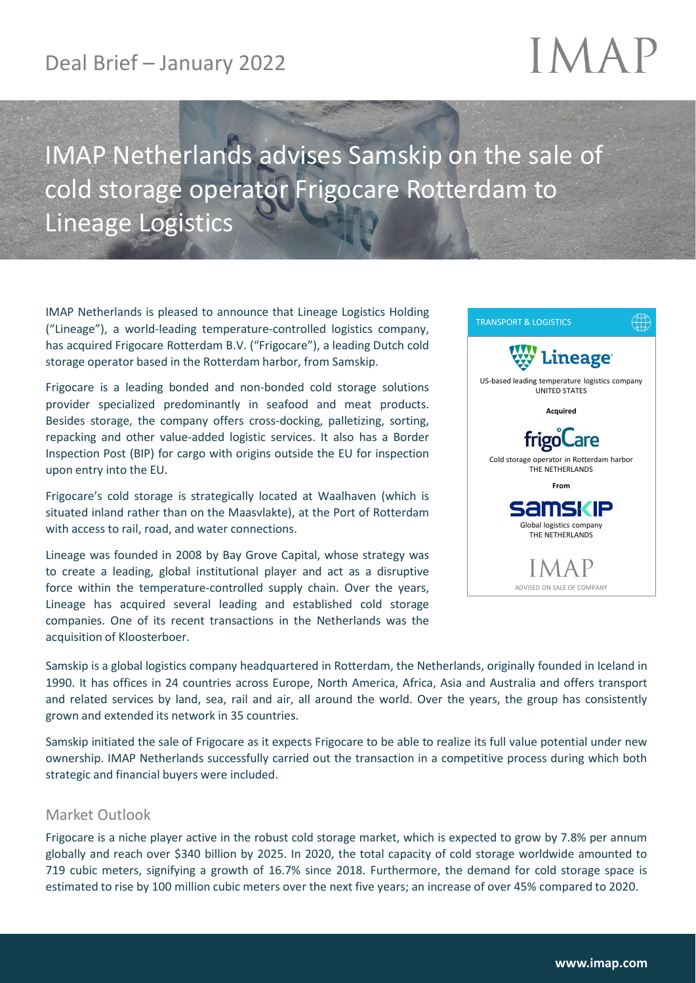### Deal Brief – January 2022

# IMAF

## IMAP Netherlands advises Samskip on the sale of cold storage operator Frigocare Rotterdam to Lineage Logistics

IMAP Netherlands is pleased to announce that Lineage Logistics Holding ("Lineage"), a world-leading temperature-controlled logistics company, has acquired Frigocare Rotterdam B.V. ("Frigocare"), a leading Dutch cold storage operator based in the Rotterdam harbor, from Samskip.

Frigocare is a leading bonded and non-bonded cold storage solutions provider specialized predominantly in seafood and meat products. Besides storage, the company offers cross-docking, palletizing, sorting, repacking and other value-added logistic services. It also has a Border Inspection Post (BIP) for cargo with origins outside the EU for inspection upon entry into the EU.

Frigocare's cold storage is strategically located at Waalhaven (which is situated inland rather than on the Maasvlakte), at the Port of Rotterdam with access to rail, road, and water connections.

Lineage was founded in 2008 by Bay Grove Capital, whose strategy was to create a leading, global institutional player and act as a disruptive force within the temperature-controlled supply chain. Over the years, Lineage has acquired several leading and established cold storage companies. One of its recent transactions in the Netherlands was the acquisition of Kloosterboer.



Samskip is a global logistics company headquartered in Rotterdam, the Netherlands, originally founded in Iceland in 1990. It has offices in 24 countries across Europe, North America, Africa, Asia and Australia and offers transport and related services by land, sea, rail and air, all around the world. Over the years, the group has consistently grown and extended its network in 35 countries.

Samskip initiated the sale of Frigocare as it expects Frigocare to be able to realize its full value potential under new ownership. IMAP Netherlands successfully carried out the transaction in a competitive process during which both strategic and financial buyers were included.

#### Market Outlook

Frigocare is a niche player active in the robust cold storage market, which is expected to grow by 7.8% per annum globally and reach over \$340 billion by 2025. In 2020, the total capacity of cold storage worldwide amounted to 719 cubic meters, signifying a growth of 16.7% since 2018. Furthermore, the demand for cold storage space is estimated to rise by 100 million cubic meters over the next five years; an increase of over 45% compared to 2020.